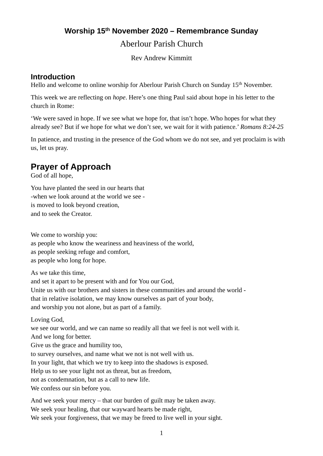## **Worship 15th November 2020 – Remembrance Sunday** Aberlour Parish Church

Rev Andrew Kimmitt

#### **Introduction**

Hello and welcome to online worship for Aberlour Parish Church on Sunday 15<sup>th</sup> November.

This week we are reflecting on *hope*. Here's one thing Paul said about hope in his letter to the church in Rome:

'We were saved in hope. If we see what we hope for, that isn't hope. Who hopes for what they already see? But if we hope for what we don't see, we wait for it with patience.' *Romans 8:24-25*

In patience, and trusting in the presence of the God whom we do not see, and yet proclaim is with us, let us pray.

# **Prayer of Approach**

God of all hope,

You have planted the seed in our hearts that -when we look around at the world we see is moved to look beyond creation, and to seek the Creator.

We come to worship you: as people who know the weariness and heaviness of the world, as people seeking refuge and comfort, as people who long for hope.

As we take this time,

and set it apart to be present with and for You our God,

Unite us with our brothers and sisters in these communities and around the world that in relative isolation, we may know ourselves as part of your body, and worship you not alone, but as part of a family.

Loving God,

we see our world, and we can name so readily all that we feel is not well with it. And we long for better.

Give us the grace and humility too,

to survey ourselves, and name what we not is not well with us.

In your light, that which we try to keep into the shadows is exposed.

Help us to see your light not as threat, but as freedom,

not as condemnation, but as a call to new life.

We confess our sin before you.

And we seek your mercy – that our burden of guilt may be taken away. We seek your healing, that our wayward hearts be made right, We seek your forgiveness, that we may be freed to live well in your sight.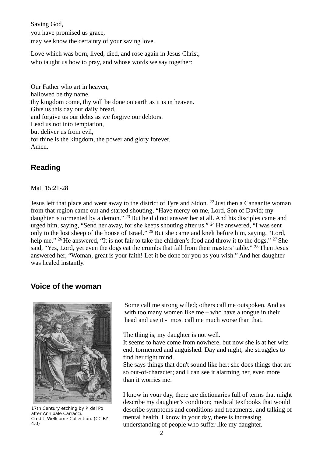Saving God, you have promised us grace, may we know the certainty of your saving love.

Love which was born, lived, died, and rose again in Jesus Christ, who taught us how to pray, and whose words we say together:

Our Father who art in heaven, hallowed be thy name, thy kingdom come, thy will be done on earth as it is in heaven. Give us this day our daily bread, and forgive us our debts as we forgive our debtors. Lead us not into temptation, but deliver us from evil, for thine is the kingdom, the power and glory forever, Amen.

### **Reading**

Matt 15:21-28

Jesus left that place and went away to the district of Tyre and Sidon. <sup>22</sup> Just then a Canaanite woman from that region came out and started shouting, "Have mercy on me, Lord, Son of David; my daughter is tormented by a demon." <sup>23</sup> But he did not answer her at all. And his disciples came and urged him, saying, "Send her away, for she keeps shouting after us." <sup>24</sup> He answered, "I was sent only to the lost sheep of the house of Israel." <sup>25</sup> But she came and knelt before him, saying, "Lord, help me." <sup>26</sup> He answered, "It is not fair to take the children's food and throw it to the dogs." <sup>27</sup> She said, "Yes, Lord, yet even the dogs eat the crumbs that fall from their masters' table." <sup>28</sup> Then Jesus answered her, "Woman, great is your faith! Let it be done for you as you wish." And her daughter was healed instantly.

### **Voice of the woman**



17th Century etching by P. del Po after Annibale Carracci. Credit: Wellcome Collection. (CC BY 4.0)

Some call me strong willed; others call me outspoken. And as with too many women like me  $-$  who have a tongue in their head and use it - most call me much worse than that.

The thing is, my daughter is not well.

It seems to have come from nowhere, but now she is at her wits end, tormented and anguished. Day and night, she struggles to find her right mind.

She says things that don't sound like her; she does things that are so out-of-character; and I can see it alarming her, even more than it worries me.

I know in your day, there are dictionaries full of terms that might describe my daughter's condition; medical textbooks that would describe symptoms and conditions and treatments, and talking of mental health. I know in your day, there is increasing understanding of people who suffer like my daughter.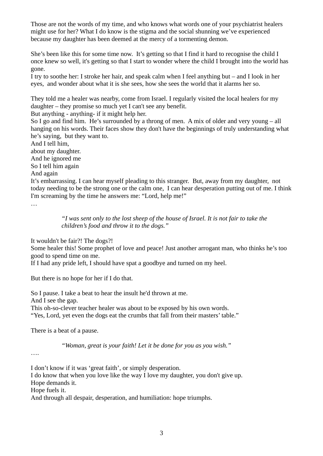Those are not the words of my time, and who knows what words one of your psychiatrist healers might use for her? What I do know is the stigma and the social shunning we've experienced because my daughter has been deemed at the mercy of a tormenting demon.

She's been like this for some time now. It's getting so that I find it hard to recognise the child I once knew so well, it's getting so that I start to wonder where the child I brought into the world has gone.

I try to soothe her: I stroke her hair, and speak calm when I feel anything but – and I look in her eyes, and wonder about what it is she sees, how she sees the world that it alarms her so.

They told me a healer was nearby, come from Israel. I regularly visited the local healers for my daughter – they promise so much yet I can't see any benefit.

But anything - anything- if it might help her.

So I go and find him. He's surrounded by a throng of men. A mix of older and very young – all hanging on his words. Their faces show they don't have the beginnings of truly understanding what he's saying, but they want to.

And I tell him, about my daughter. And he ignored me So I tell him again And again

It's embarrassing. I can hear myself pleading to this stranger. But, away from my daughter, not today needing to be the strong one or the calm one, I can hear desperation putting out of me. I think I'm screaming by the time he answers me: "Lord, help me!"

…

*"I was sent only to the lost sheep of the house of Israel. It is not fair to take the children's food and throw it to the dogs."*

It wouldn't be fair?! The dogs?!

Some healer this! Some prophet of love and peace! Just another arrogant man, who thinks he's too good to spend time on me.

If I had any pride left, I should have spat a goodbye and turned on my heel.

But there is no hope for her if I do that.

So I pause. I take a beat to hear the insult he'd thrown at me. And I see the gap. This oh-so-clever teacher healer was about to be exposed by his own words. "Yes, Lord, yet even the dogs eat the crumbs that fall from their masters' table."

There is a beat of a pause.

*"Woman, great is your faith! Let it be done for you as you wish."*

….

I don't know if it was 'great faith', or simply desperation.

I do know that when you love like the way I love my daughter, you don't give up.

Hope demands it.

Hope fuels it.

And through all despair, desperation, and humiliation: hope triumphs.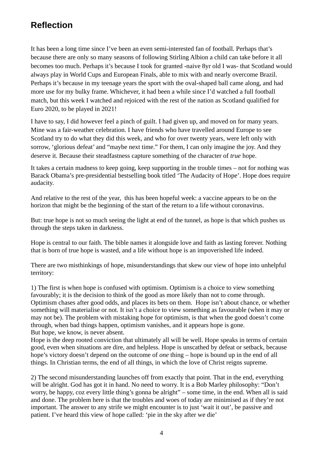# **Reflection**

It has been a long time since I've been an even semi-interested fan of football. Perhaps that's because there are only so many seasons of following Stirling Albion a child can take before it all becomes too much. Perhaps it's because I took for granted -naive 8yr old I was- that Scotland would always play in World Cups and European Finals, able to mix with and nearly overcome Brazil. Perhaps it's because in my teenage years the sport with the oval-shaped ball came along, and had more use for my bulky frame. Whichever, it had been a while since I'd watched a full football match, but this week I watched and rejoiced with the rest of the nation as Scotland qualified for Euro 2020, to be played in 2021!

I have to say, I did however feel a pinch of guilt. I had given up, and moved on for many years. Mine was a fair-weather celebration. I have friends who have travelled around Europe to see Scotland try to do what they did this week, and who for over twenty years, were left only with sorrow, 'glorious defeat' and "maybe next time." For them, I can only imagine the joy. And they deserve it. Because their steadfastness capture something of the character of *true* hope.

It takes a certain madness to keep going, keep supporting in the trouble times – not for nothing was Barack Obama's pre-presidential bestselling book titled 'The Audacity of Hope'. Hope does require audacity.

And relative to the rest of the year, this has been hopeful week: a vaccine appears to be on the horizon that might be the beginning of the start of the return to a life without coronavirus.

But: true hope is not so much seeing the light at end of the tunnel, as hope is that which pushes us through the steps taken in darkness.

Hope is central to our faith. The bible names it alongside love and faith as lasting forever. Nothing that is born of true hope is wasted, and a life without hope is an impoverished life indeed.

There are two misthinkings of hope, misunderstandings that skew our view of hope into unhelpful territory:

1) The first is when hope is confused with optimism. Optimism is a choice to view something favourably; it is the decision to think of the good as more likely than not to come through. Optimism chases after good odds, and places its bets on them. Hope isn't about chance, or whether something will materialise or not. It isn't a choice to view something as favourable (when it may or may not be). The problem with mistaking hope for optimism, is that when the good doesn't come through, when bad things happen, optimism vanishes, and it appears hope is gone. But hope, we know, is never absent.

Hope is the deep rooted conviction that ultimately all will be well. Hope speaks in terms of certain good, even when situations are dire, and helpless. Hope is unscathed by defeat or setback, because hope's victory doesn't depend on the outcome of *one* thing – hope is bound up in the end of all things. In Christian terms, the end of all things, in which the love of Christ reigns supreme.

2) The second misunderstanding launches off from exactly that point. That in the end, everything will be alright. God has got it in hand. No need to worry. It is a Bob Marley philosophy: "Don't worry, be happy, coz every little thing's gonna be alright" – some time, in the end. When all is said and done. The problem here is that the troubles and woes of today are minimised as if they're not important. The answer to any strife we might encounter is to just 'wait it out', be passive and patient. I've heard this view of hope called: 'pie in the sky after we die'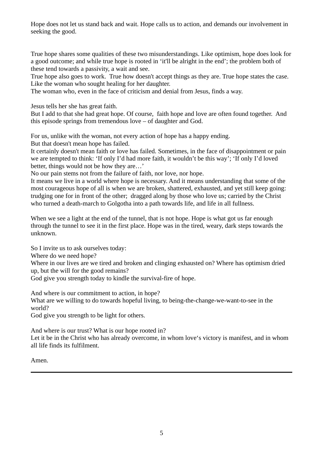Hope does not let us stand back and wait. Hope calls us to action, and demands our involvement in seeking the good.

True hope shares some qualities of these two misunderstandings. Like optimism, hope does look for a good outcome; and while true hope is rooted in 'it'll be alright in the end'; the problem both of these tend towards a passivity, a wait and see.

True hope also goes to work. True how doesn't accept things as they are. True hope states the case. Like the woman who sought healing for her daughter.

The woman who, even in the face of criticism and denial from Jesus, finds a way.

Jesus tells her she has great faith.

But I add to that she had great hope. Of course, faith hope and love are often found together. And this episode springs from tremendous love – of daughter and God.

For us, unlike with the woman, not every action of hope has a happy ending.

But that doesn't mean hope has failed.

It certainly doesn't mean faith or love has failed. Sometimes, in the face of disappointment or pain we are tempted to think: 'If only I'd had more faith, it wouldn't be this way'; 'If only I'd loved better, things would not be how they are…'

No our pain stems not from the failure of faith, nor love, nor hope.

It means we live in a world where hope is necessary. And it means understanding that some of the most courageous hope of all is when we are broken, shattered, exhausted, and yet still keep going: trudging one for in front of the other; dragged along by those who love us; carried by the Christ who turned a death-march to Golgotha into a path towards life, and life in all fullness.

When we see a light at the end of the tunnel, that is not hope. Hope is what got us far enough through the tunnel to see it in the first place. Hope was in the tired, weary, dark steps towards the unknown.

So I invite us to ask ourselves today:

Where do we need hope?

Where in our lives are we tired and broken and clinging exhausted on? Where has optimism dried up, but the will for the good remains?

God give you strength today to kindle the survival-fire of hope.

And where is our commitment to action, in hope?

What are we willing to do towards hopeful living, to being-the-change-we-want-to-see in the world?

God give you strength to be light for others.

And where is our trust? What is our hope rooted in?

Let it be in the Christ who has already overcome, in whom love's victory is manifest, and in whom all life finds its fulfilment.

Amen.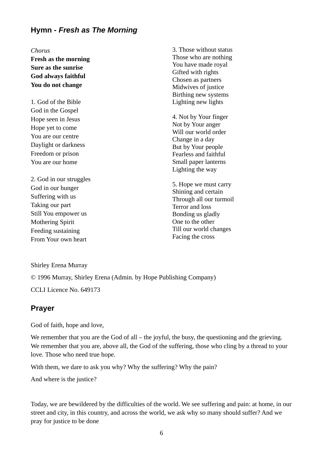### **Hymn -** *Fresh as The Morning*

*Chorus*

**Fresh as the morning Sure as the sunrise God always faithful You do not change**

1. God of the Bible God in the Gospel Hope seen in Jesus Hope yet to come You are our centre Daylight or darkness Freedom or prison You are our home

2. God in our struggles God in our hunger Suffering with us Taking our part Still You empower us Mothering Spirit Feeding sustaining From Your own heart

3. Those without status Those who are nothing You have made royal Gifted with rights Chosen as partners Midwives of justice Birthing new systems Lighting new lights

4. Not by Your finger Not by Your anger Will our world order Change in a day But by Your people Fearless and faithful Small paper lanterns Lighting the way

5. Hope we must carry Shining and certain Through all our turmoil Terror and loss Bonding us gladly One to the other Till our world changes Facing the cross

Shirley Erena Murray

© 1996 Murray, Shirley Erena (Admin. by Hope Publishing Company)

CCLI Licence No. 649173

### **Prayer**

God of faith, hope and love,

We remember that you are the God of all – the joyful, the busy, the questioning and the grieving. We remember that you are, above all, the God of the suffering, those who cling by a thread to your love. Those who need true hope.

With them, we dare to ask you why? Why the suffering? Why the pain?

And where is the justice?

Today, we are bewildered by the difficulties of the world. We see suffering and pain: at home, in our street and city, in this country, and across the world, we ask why so many should suffer? And we pray for justice to be done